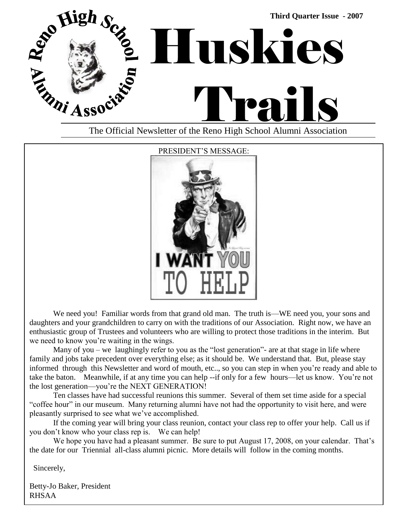



We need you! Familiar words from that grand old man. The truth is—WE need you, your sons and daughters and your grandchildren to carry on with the traditions of our Association. Right now, we have an enthusiastic group of Trustees and volunteers who are willing to protect those traditions in the interim. But we need to know you're waiting in the wings.

Many of you – we laughingly refer to you as the "lost generation"- are at that stage in life where family and jobs take precedent over everything else; as it should be. We understand that. But, please stay informed through this Newsletter and word of mouth, etc.., so you can step in when you're ready and able to take the baton. Meanwhile, if at any time you can help --if only for a few hours—let us know. You're not the lost generation—you're the NEXT GENERATION!

Ten classes have had successful reunions this summer. Several of them set time aside for a special "coffee hour" in our museum. Many returning alumni have not had the opportunity to visit here, and were pleasantly surprised to see what we've accomplished.

If the coming year will bring your class reunion, contact your class rep to offer your help. Call us if you don't know who your class rep is. We can help!

We hope you have had a pleasant summer. Be sure to put August 17, 2008, on your calendar. That's the date for our Triennial all-class alumni picnic. More details will follow in the coming months.

Sincerely,

Betty-Jo Baker, President RHSAA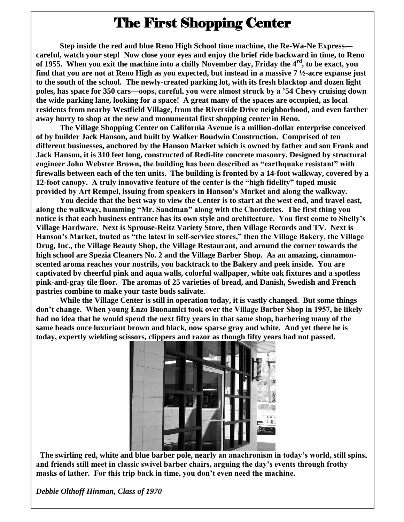## The First Shopping Center

**Step inside the red and blue Reno High School time machine, the Re-Wa-Ne Express careful, watch your step! Now close your eyes and enjoy the brief ride backward in time, to Reno of 1955. When you exit the machine into a chilly November day, Friday the 4rd, to be exact, you find that you are not at Reno High as you expected, but instead in a massive 7 ½-acre expanse just to the south of the school. The newly-created parking lot, with its fresh blacktop and dozen light poles, has space for 350 cars—oops, careful, you were almost struck by a '54 Chevy cruising down the wide parking lane, looking for a space! A great many of the spaces are occupied, as local residents from nearby Westfield Village, from the Riverside Drive neighborhood, and even farther away hurry to shop at the new and monumental first shopping center in Reno.**

**The Village Shopping Center on California Avenue is a million-dollar enterprise conceived of by builder Jack Hanson, and built by Walker Boudwin Construction. Comprised of ten different businesses, anchored by the Hanson Market which is owned by father and son Frank and Jack Hanson, it is 310 feet long, constructed of Redi-lite concrete masonry. Designed by structural engineer John Webster Brown, the building has been described as "earthquake resistant" with firewalls between each of the ten units. The building is fronted by a 14-foot walkway, covered by a 12-foot canopy. A truly innovative feature of the center is the "high fidelity" taped music provided by Art Rempel, issuing from speakers in Hanson's Market and along the walkway.**

**You decide that the best way to view the Center is to start at the west end, and travel east, along the walkway, humming "Mr. Sandman" along with the Chordettes. The first thing you notice is that each business entrance has its own style and architecture. You first come to Shelly's Village Hardware. Next is Sprouse-Reitz Variety Store, then Village Records and TV. Next is Hanson's Market, touted as "the latest in self-service stores," then the Village Bakery, the Village Drug, Inc., the Village Beauty Shop, the Village Restaurant, and around the corner towards the high school are Spezia Cleaners No. 2 and the Village Barber Shop. As an amazing, cinnamonscented aroma reaches your nostrils, you backtrack to the Bakery and peek inside. You are captivated by cheerful pink and aqua walls, colorful wallpaper, white oak fixtures and a spotless pink-and-gray tile floor. The aromas of 25 varieties of bread, and Danish, Swedish and French pastries combine to make your taste buds salivate.**

**While the Village Center is still in operation today, it is vastly changed. But some things don't change. When young Enzo Buonamici took over the Village Barber Shop in 1957, he likely had no idea that he would spend the next fifty years in that same shop, barbering many of the same heads once luxuriant brown and black, now sparse gray and white. And yet there he is today, expertly wielding scissors, clippers and razor as though fifty years had not passed.**



**The swirling red, white and blue barber pole, nearly an anachronism in today's world, still spins, and friends still meet in classic swivel barber chairs, arguing the day's events through frothy masks of lather. For this trip back in time, you don't even need the machine.** 

*Debbie Olthoff Hinman, Class of 1970*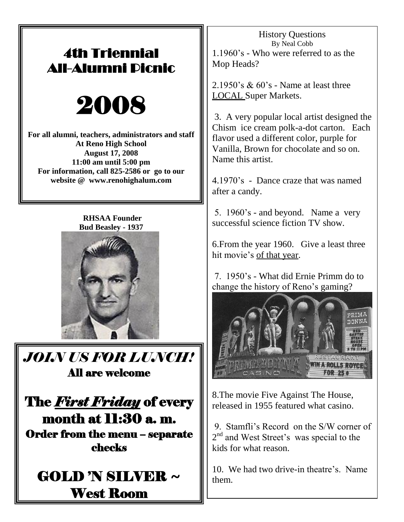## 4th Triennial All-Alumni Picnic



**For all alumni, teachers, administrators and staff At Reno High School August 17, 2008 11:00 am until 5:00 pm For information, call 825-2586 or go to our website @ www.renohighalum.com**

 **RHSAA Founder Bud Beasley - 1937**



*JOIN US FOR LUNCH!* All are welcome

The *First Friday* of every month at 11:30 a. m. Order from the menu – separate checks



History Questions By Neal Cobb 1.1960's - Who were referred to as the Mop Heads?

 $2.1950$ 's  $\&$  60's - Name at least three LOCAL Super Markets.

3. A very popular local artist designed the Chism ice cream polk-a-dot carton. Each flavor used a different color, purple for Vanilla, Brown for chocolate and so on. Name this artist.

4.1970's - Dance craze that was named after a candy.

5. 1960's - and beyond. Name a very successful science fiction TV show.

6.From the year 1960. Give a least three hit movie's of that year.

7. 1950's - What did Ernie Primm do to change the history of Reno's gaming?



8.The movie Five Against The House, released in 1955 featured what casino.

9. Stamfli's Record on the S/W corner of 2<sup>nd</sup> and West Street's was special to the kids for what reason.

10. We had two drive-in theatre's. Name them.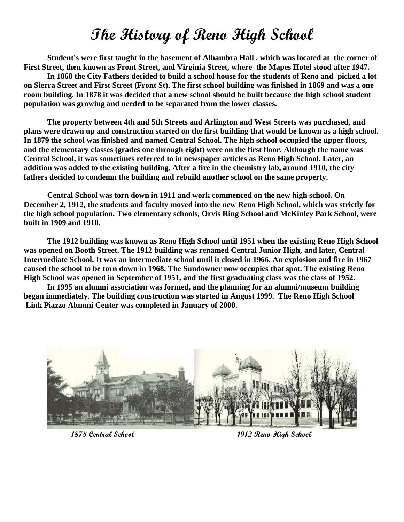## **The History of Reno High School**

**Student's were first taught in the basement of Alhambra Hall , which was located at the corner of First Street, then known as Front Street, and Virginia Street, where the Mapes Hotel stood after 1947.** 

**In 1868 the City Fathers decided to build a school house for the students of Reno and picked a lot on Sierra Street and First Street (Front St). The first school building was finished in 1869 and was a one room building. In 1878 it was decided that a new school should be built because the high school student population was growing and needed to be separated from the lower classes.**

**The property between 4th and 5th Streets and Arlington and West Streets was purchased, and plans were drawn up and construction started on the first building that would be known as a high school. In 1879 the school was finished and named Central School. The high school occupied the upper floors, and the elementary classes (grades one through eight) were on the first floor. Although the name was Central School, it was sometimes referred to in newspaper articles as Reno High School. Later, an addition was added to the existing building. After a fire in the chemistry lab, around 1910, the city fathers decided to condemn the building and rebuild another school on the same property.**

**Central School was torn down in 1911 and work commenced on the new high school. On December 2, 1912, the students and faculty moved into the new Reno High School, which was strictly for the high school population. Two elementary schools, Orvis Ring School and McKinley Park School, were built in 1909 and 1910.** 

**The 1912 building was known as Reno High School until 1951 when the existing Reno High School was opened on Booth Street. The 1912 building was renamed Central Junior High, and later, Central Intermediate School. It was an intermediate school until it closed in 1966. An explosion and fire in 1967 caused the school to be torn down in 1968. The Sundowner now occupies that spot. The existing Reno High School was opened in September of 1951, and the first graduating class was the class of 1952.**

**In 1995 an alumni association was formed, and the planning for an alumni/museum building began immediately. The building construction was started in August 1999. The Reno High School Link Piazzo Alumni Center was completed in January of 2000.**



**1878 Central School 1912 Reno High School**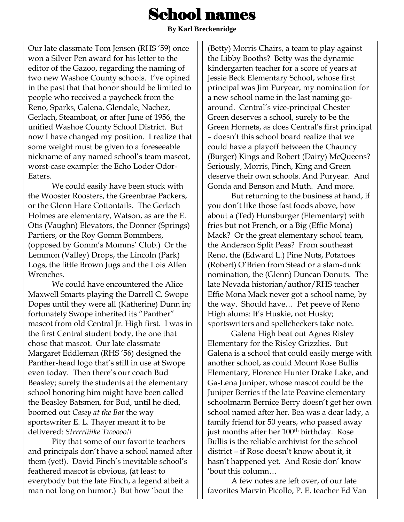# School names

**By Karl Breckenridge**

Our late classmate Tom Jensen (RHS "59) once won a Silver Pen award for his letter to the editor of the Gazoo, regarding the naming of two new Washoe County schools. I've opined in the past that that honor should be limited to people who received a paycheck from the Reno, Sparks, Galena, Glendale, Nachez, Gerlach, Steamboat, or after June of 1956, the unified Washoe County School District. But now I have changed my position. I realize that some weight must be given to a foreseeable nickname of any named school"s team mascot, worst-case example: the Echo Loder Odor-Eaters.

We could easily have been stuck with the Wooster Roosters, the Greenbrae Packers, or the Glenn Hare Cottontails. The Gerlach Holmes are elementary, Watson, as are the E. Otis (Vaughn) Elevators, the Donner (Springs) Partiers, or the Roy Gomm Bommbers, (opposed by Gomm"s Momms" Club.) Or the Lemmon (Valley) Drops, the Lincoln (Park) Logs, the little Brown Jugs and the Lois Allen Wrenches.

We could have encountered the Alice Maxwell Smarts playing the Darrell C. Swope Dopes until they were all (Katherine) Dunn in; fortunately Swope inherited its "Panther" mascot from old Central Jr. High first. I was in the first Central student body, the one that chose that mascot. Our late classmate Margaret Eddleman (RHS "56) designed the Panther-head logo that's still in use at Swope even today. Then there"s our coach Bud Beasley; surely the students at the elementary school honoring him might have been called the Beasley Batsmen, for Bud, until he died, boomed out *Casey at the Bat* the way sportswriter E. L. Thayer meant it to be delivered: *Strrrriiiike Twoooo!!*

Pity that some of our favorite teachers and principals don"t have a school named after them (yet!). David Finch's inevitable school's feathered mascot is obvious, (at least to everybody but the late Finch, a legend albeit a man not long on humor.) But how "bout the

(Betty) Morris Chairs, a team to play against the Libby Booths? Betty was the dynamic kindergarten teacher for a score of years at Jessie Beck Elementary School, whose first principal was Jim Puryear, my nomination for a new school name in the last naming goaround. Central"s vice-principal Chester Green deserves a school, surely to be the Green Hornets, as does Central"s first principal – doesn"t this school board realize that we could have a playoff between the Chauncy (Burger) Kings and Robert (Dairy) McQueens? Seriously, Morris, Finch, King and Green deserve their own schools. And Puryear. And Gonda and Benson and Muth. And more.

But returning to the business at hand, if you don"t like those fast foods above, how about a (Ted) Hunsburger (Elementary) with fries but not French, or a Big (Effie Mona) Mack? Or the great elementary school team, the Anderson Split Peas? From southeast Reno, the (Edward L.) Pine Nuts, Potatoes (Robert) O"Brien from Stead or a slam-dunk nomination, the (Glenn) Duncan Donuts. The late Nevada historian/author/RHS teacher Effie Mona Mack never got a school name, by the way. Should have… Pet peeve of Reno High alums: It's Huskie, not Husky; sportswriters and spellcheckers take note.

Galena High beat out Agnes Risley Elementary for the Risley Grizzlies. But Galena is a school that could easily merge with another school, as could Mount Rose Bullis Elementary, Florence Hunter Drake Lake, and Ga-Lena Juniper, whose mascot could be the Juniper Berries if the late Peavine elementary schoolmarm Bernice Berry doesn't get her own school named after her. Bea was a dear lady, a family friend for 50 years, who passed away just months after her 100<sup>th</sup> birthday. Rose Bullis is the reliable archivist for the school district – if Rose doesn"t know about it, it hasn't happened yet. And Rosie don' know "bout this column…

A few notes are left over, of our late favorites Marvin Picollo, P. E. teacher Ed Van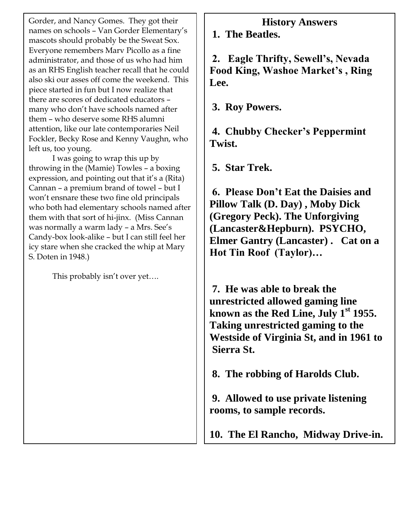Gorder, and Nancy Gomes. They got their names on schools - Van Gorder Elementary's mascots should probably be the Sweat Sox. Everyone remembers Marv Picollo as a fine administrator, and those of us who had him as an RHS English teacher recall that he could also ski our asses off come the weekend. This piece started in fun but I now realize that there are scores of dedicated educators – many who don"t have schools named after them – who deserve some RHS alumni attention, like our late contemporaries Neil Fockler, Becky Rose and Kenny Vaughn, who left us, too young.

I was going to wrap this up by throwing in the (Mamie) Towles – a boxing expression, and pointing out that it's a (Rita) Cannan – a premium brand of towel – but I won"t ensnare these two fine old principals who both had elementary schools named after them with that sort of hi-jinx. (Miss Cannan was normally a warm lady - a Mrs. See's Candy-box look-alike – but I can still feel her icy stare when she cracked the whip at Mary S. Doten in 1948.)

This probably isn't over yet....

### **History Answers**

**1. The Beatles.**

**2. Eagle Thrifty, Sewell's, Nevada Food King, Washoe Market's , Ring Lee.**

**3. Roy Powers.**

**4. Chubby Checker's Peppermint Twist.**

**5. Star Trek.** 

**6. Please Don't Eat the Daisies and Pillow Talk (D. Day) , Moby Dick (Gregory Peck). The Unforgiving (Lancaster&Hepburn). PSYCHO, Elmer Gantry (Lancaster) . Cat on a Hot Tin Roof (Taylor)…**

**7. He was able to break the unrestricted allowed gaming line known as the Red Line, July 1st 1955. Taking unrestricted gaming to the Westside of Virginia St, and in 1961 to Sierra St.**

**8. The robbing of Harolds Club.** 

**9. Allowed to use private listening rooms, to sample records.**

**10. The El Rancho, Midway Drive-in.**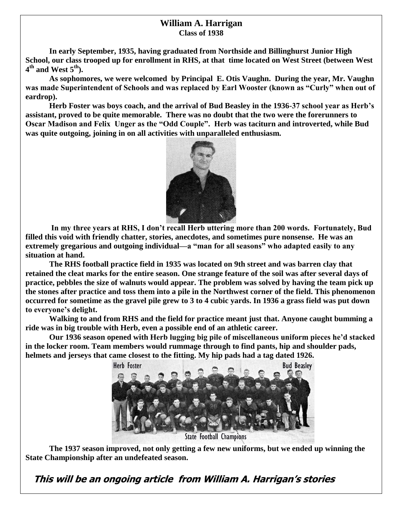#### **William A. Harrigan Class of 1938**

**In early September, 1935, having graduated from Northside and Billinghurst Junior High School, our class trooped up for enrollment in RHS, at that time located on West Street (between West 4 th and West 5th).**

 **As sophomores, we were welcomed by Principal E. Otis Vaughn. During the year, Mr. Vaughn was made Superintendent of Schools and was replaced by Earl Wooster (known as "Curly" when out of eardrop).**

**Herb Foster was boys coach, and the arrival of Bud Beasley in the 1936-37 school year as Herb's assistant, proved to be quite memorable. There was no doubt that the two were the forerunners to Oscar Madison and Felix Unger as the "Odd Couple". Herb was taciturn and introverted, while Bud was quite outgoing, joining in on all activities with unparalleled enthusiasm.** 



**In my three years at RHS, I don't recall Herb uttering more than 200 words. Fortunately, Bud filled this void with friendly chatter, stories, anecdotes, and sometimes pure nonsense. He was an extremely gregarious and outgoing individual—a "man for all seasons" who adapted easily to any situation at hand.**

**The RHS football practice field in 1935 was located on 9th street and was barren clay that retained the cleat marks for the entire season. One strange feature of the soil was after several days of practice, pebbles the size of walnuts would appear. The problem was solved by having the team pick up the stones after practice and toss them into a pile in the Northwest corner of the field. This phenomenon occurred for sometime as the gravel pile grew to 3 to 4 cubic yards. In 1936 a grass field was put down to everyone's delight.**

**Walking to and from RHS and the field for practice meant just that. Anyone caught bumming a ride was in big trouble with Herb, even a possible end of an athletic career.**

**Our 1936 season opened with Herb lugging big pile of miscellaneous uniform pieces he'd stacked in the locker room. Team members would rummage through to find pants, hip and shoulder pads, helmets and jerseys that came closest to the fitting. My hip pads had a tag dated 1926.**



**The 1937 season improved, not only getting a few new uniforms, but we ended up winning the State Championship after an undefeated season.**

 **This will be an ongoing article from William A. Harrigan's storie<sup>s</sup>**